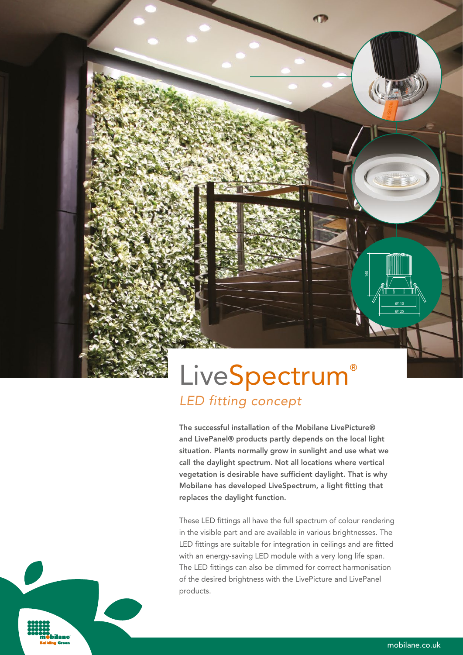# **LiveSpectrum®** *LED fitting concept*

The successful installation of the Mobilane LivePicture® and LivePanel® products partly depends on the local light situation. Plants normally grow in sunlight and use what we call the daylight spectrum. Not all locations where vertical vegetation is desirable have sufficient daylight. That is why Mobilane has developed LiveSpectrum, a light fitting that replaces the daylight function.

These LED fittings all have the full spectrum of colour rendering in the visible part and are available in various brightnesses. The LED fittings are suitable for integration in ceilings and are fitted with an energy-saving LED module with a very long life span. The LED fittings can also be dimmed for correct harmonisation of the desired brightness with the LivePicture and LivePanel products.

ilane

160

 Ø110 Ø125